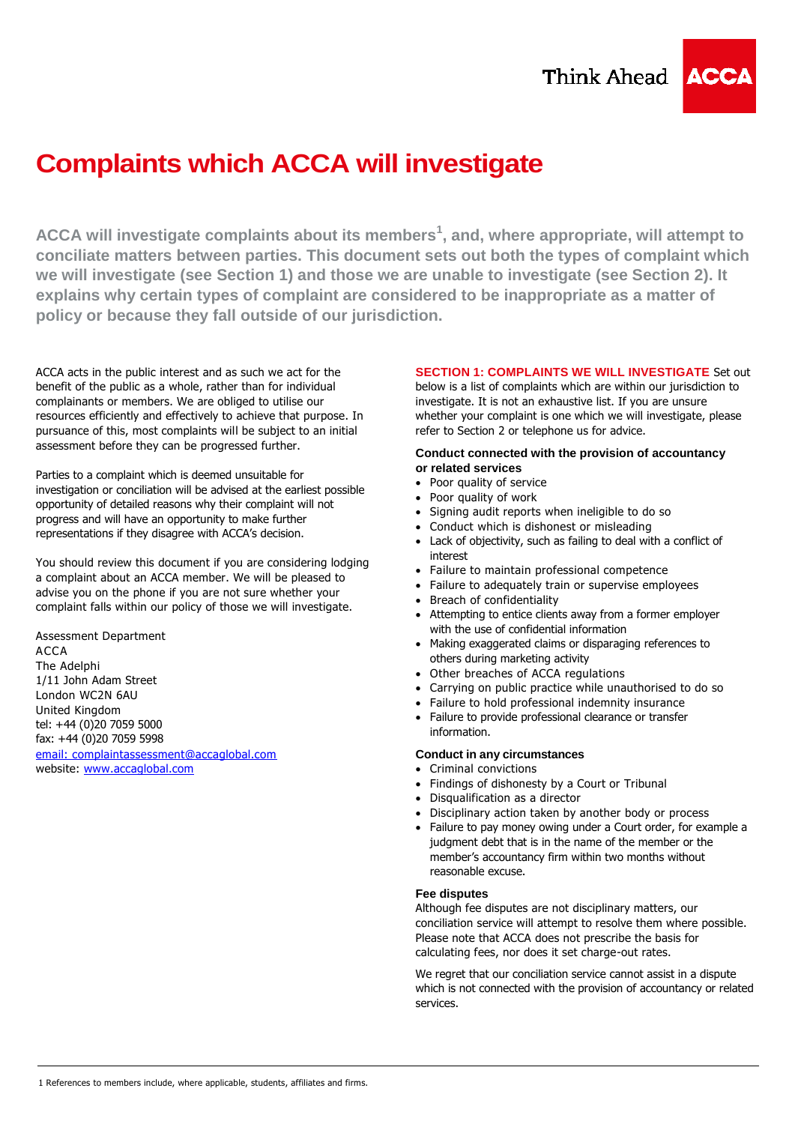# **Complaints which ACCA will investigate**

**ACCA will investigate complaints about its members<sup>1</sup> , and, where appropriate, will attempt to conciliate matters between parties. This document sets out both the types of complaint which we will investigate (see Section 1) and those we are unable to investigate (see Section 2). It explains why certain types of complaint are considered to be inappropriate as a matter of policy or because they fall outside of our jurisdiction.**

ACCA acts in the public interest and as such we act for the benefit of the public as a whole, rather than for individual complainants or members. We are obliged to utilise our resources efficiently and effectively to achieve that purpose. In pursuance of this, most complaints will be subject to an initial assessment before they can be progressed further.

Parties to a complaint which is deemed unsuitable for investigation or conciliation will be advised at the earliest possible opportunity of detailed reasons why their complaint will not progress and will have an opportunity to make further representations if they disagree with ACCA's decision.

You should review this document if you are considering lodging a complaint about an ACCA member. We will be pleased to advise you on the phone if you are not sure whether your complaint falls within our policy of those we will investigate.

Assessment Department ACCA The Adelphi 1/11 John Adam Street London WC2N 6AU United Kingdom tel: +44 (0)20 7059 5000 fax: +44 (0)20 7059 5998 [email:](mailto:complaintassessment@accaglobal.com) complaintassessment@accaglobal.com website: [www.accaglobal.com](http://www.accaglobal.com/)

# **SECTION 1: COMPLAINTS WE WILL INVESTIGATE** Set out

below is a list of complaints which are within our jurisdiction to investigate. It is not an exhaustive list. If you are unsure whether your complaint is one which we will investigate, please refer to Section 2 or telephone us for advice.

# **Conduct connected with the provision of accountancy or related services**

- Poor quality of service
- Poor quality of work
- Signing audit reports when ineligible to do so
- Conduct which is dishonest or misleading
- Lack of objectivity, such as failing to deal with a conflict of interest
- Failure to maintain professional competence
- Failure to adequately train or supervise employees
- Breach of confidentiality
- Attempting to entice clients away from a former employer with the use of confidential information
- Making exaggerated claims or disparaging references to others during marketing activity
- Other breaches of ACCA regulations
- Carrying on public practice while unauthorised to do so
- Failure to hold professional indemnity insurance
- Failure to provide professional clearance or transfer information.

# **Conduct in any circumstances**

- Criminal convictions
- Findings of dishonesty by a Court or Tribunal
- Disqualification as a director
- Disciplinary action taken by another body or process
- Failure to pay money owing under a Court order, for example a judgment debt that is in the name of the member or the member's accountancy firm within two months without reasonable excuse.

# **Fee disputes**

Although fee disputes are not disciplinary matters, our conciliation service will attempt to resolve them where possible. Please note that ACCA does not prescribe the basis for calculating fees, nor does it set charge-out rates.

We regret that our conciliation service cannot assist in a dispute which is not connected with the provision of accountancy or related services.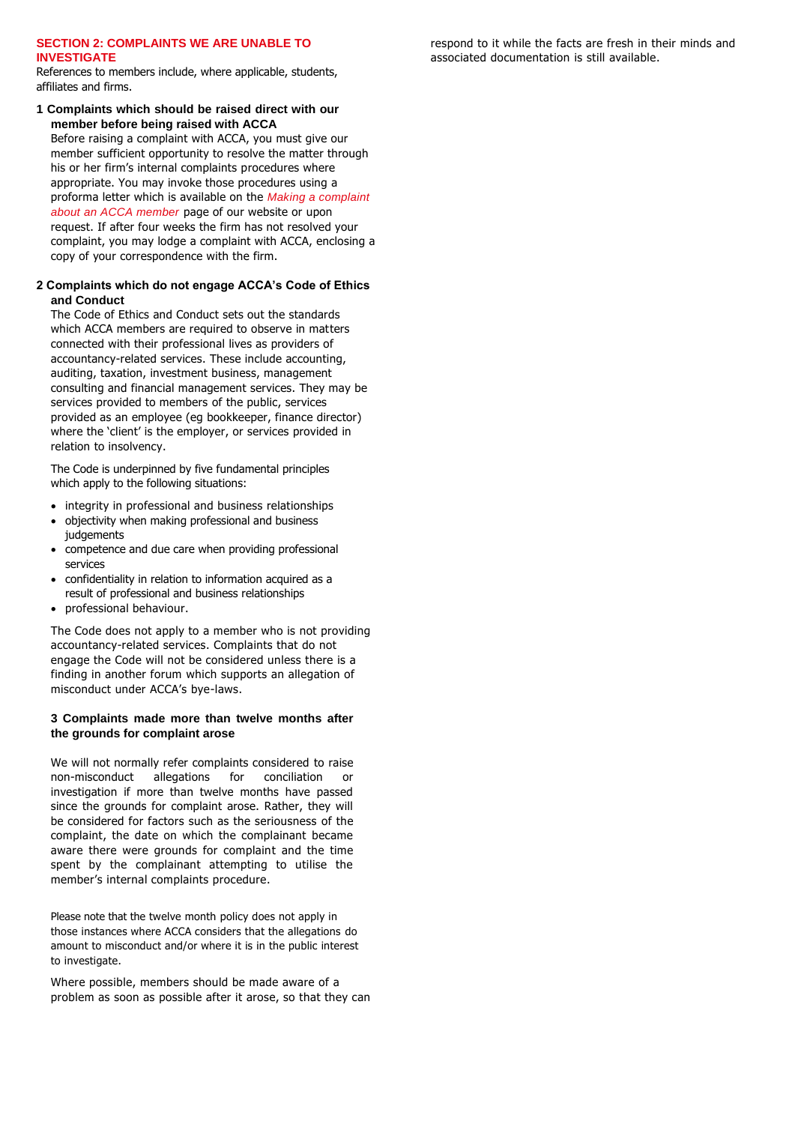### **SECTION 2: COMPLAINTS WE ARE UNABLE TO INVESTIGATE**

References to members include, where applicable, students, affiliates and firms.

**1 Complaints which should be raised direct with our member before being raised with ACCA**

Before raising a complaint with ACCA, you must give our member sufficient opportunity to resolve the matter through his or her firm's internal complaints procedures where appropriate. You may invoke those procedures using a proforma letter which is available on the *Making a complaint about an ACCA member* page of our website or upon request. If after four weeks the firm has not resolved your complaint, you may lodge a complaint with ACCA, enclosing a copy of your correspondence with the firm.

# **2 Complaints which do not engage ACCA's Code of Ethics and Conduct**

The Code of Ethics and Conduct sets out the standards which ACCA members are required to observe in matters connected with their professional lives as providers of accountancy-related services. These include accounting, auditing, taxation, investment business, management consulting and financial management services. They may be services provided to members of the public, services provided as an employee (eg bookkeeper, finance director) where the 'client' is the employer, or services provided in relation to insolvency.

The Code is underpinned by five fundamental principles which apply to the following situations:

- integrity in professional and business relationships
- objectivity when making professional and business judgements
- competence and due care when providing professional services
- confidentiality in relation to information acquired as a result of professional and business relationships
- professional behaviour.

The Code does not apply to a member who is not providing accountancy-related services. Complaints that do not engage the Code will not be considered unless there is a finding in another forum which supports an allegation of misconduct under ACCA's bye-laws.

### **3 Complaints made more than twelve months after the grounds for complaint arose**

We will not normally refer complaints considered to raise non-misconduct allegations for conciliation or investigation if more than twelve months have passed since the grounds for complaint arose. Rather, they will be considered for factors such as the seriousness of the complaint, the date on which the complainant became aware there were grounds for complaint and the time spent by the complainant attempting to utilise the member's internal complaints procedure.

Please note that the twelve month policy does not apply in those instances where ACCA considers that the allegations do amount to misconduct and/or where it is in the public interest to investigate.

Where possible, members should be made aware of a problem as soon as possible after it arose, so that they can respond to it while the facts are fresh in their minds and associated documentation is still available.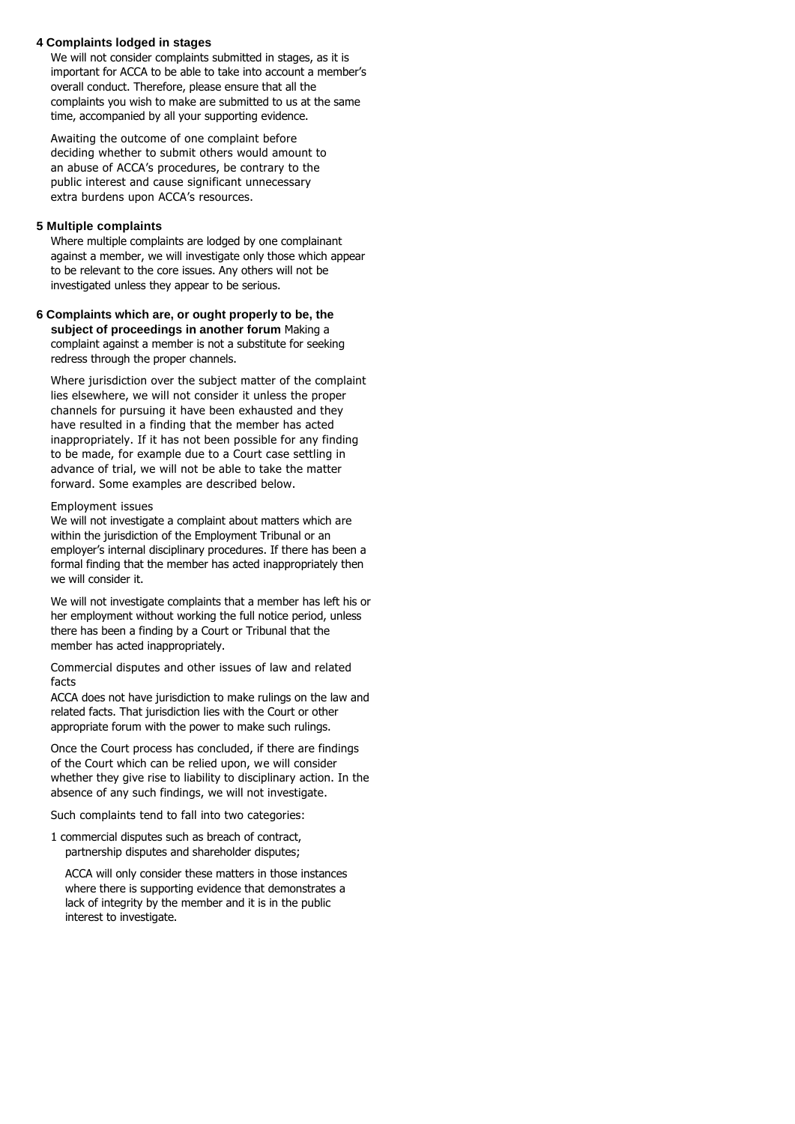#### **4 Complaints lodged in stages**

We will not consider complaints submitted in stages, as it is important for ACCA to be able to take into account a member's overall conduct. Therefore, please ensure that all the complaints you wish to make are submitted to us at the same time, accompanied by all your supporting evidence.

Awaiting the outcome of one complaint before deciding whether to submit others would amount to an abuse of ACCA's procedures, be contrary to the public interest and cause significant unnecessary extra burdens upon ACCA's resources.

#### **5 Multiple complaints**

Where multiple complaints are lodged by one complainant against a member, we will investigate only those which appear to be relevant to the core issues. Any others will not be investigated unless they appear to be serious.

**6 Complaints which are, or ought properly to be, the subject of proceedings in another forum** Making a complaint against a member is not a substitute for seeking redress through the proper channels.

Where jurisdiction over the subject matter of the complaint lies elsewhere, we will not consider it unless the proper channels for pursuing it have been exhausted and they have resulted in a finding that the member has acted inappropriately. If it has not been possible for any finding to be made, for example due to a Court case settling in advance of trial, we will not be able to take the matter forward. Some examples are described below.

#### Employment issues

We will not investigate a complaint about matters which are within the jurisdiction of the Employment Tribunal or an employer's internal disciplinary procedures. If there has been a formal finding that the member has acted inappropriately then we will consider it.

We will not investigate complaints that a member has left his or her employment without working the full notice period, unless there has been a finding by a Court or Tribunal that the member has acted inappropriately.

Commercial disputes and other issues of law and related facts

ACCA does not have jurisdiction to make rulings on the law and related facts. That jurisdiction lies with the Court or other appropriate forum with the power to make such rulings.

Once the Court process has concluded, if there are findings of the Court which can be relied upon, we will consider whether they give rise to liability to disciplinary action. In the absence of any such findings, we will not investigate.

Such complaints tend to fall into two categories:

1 commercial disputes such as breach of contract, partnership disputes and shareholder disputes;

ACCA will only consider these matters in those instances where there is supporting evidence that demonstrates a lack of integrity by the member and it is in the public interest to investigate.